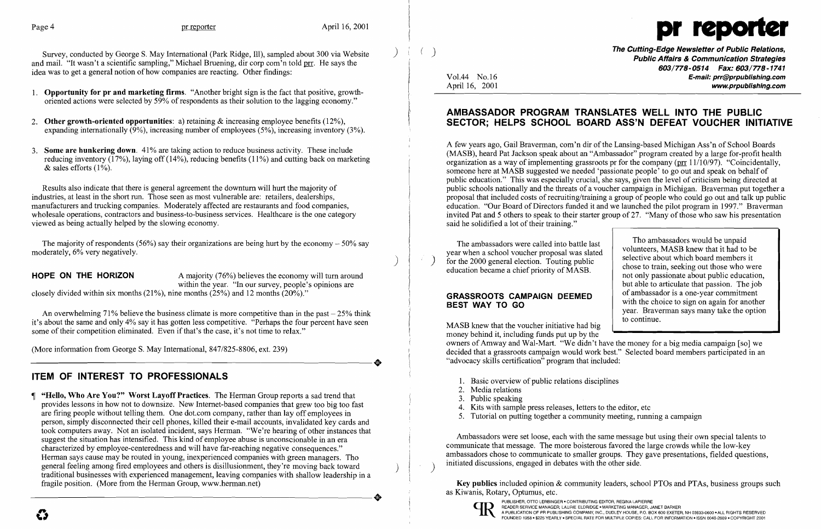

Survey, conducted by George S. May International (Park Ridge, Ill), sampled about 300 via Website ) and mail. "It wasn't a scientific sampling," Michael Bruening, dir corp com'n told prr. He says the idea was to get a general notion of how companies are reacting. Other findings:

- 1. Opportunity for pr and marketing firms. "Another bright sign is the fact that positive, growthoriented actions were selected by 59% of respondents as their solution to the lagging economy."
- 2. Other growth-oriented opportunities: a) retaining  $\&$  increasing employee benefits (12%), expanding internationally  $(9\%)$ , increasing number of employees  $(5\%)$ , increasing inventory  $(3\%)$ .
- 3. Some are hunkering down. 41% are taking action to reduce business activity. These include reducing inventory (17%), laying off (14%), reducing benefits (11%) and cutting back on marketing  $&$  sales efforts (1%).

The majority of respondents (56%) say their organizations are being hurt by the economy  $-50\%$  say moderately, 6% very negatively.

**HOPE ON THE HORIZON** A majority  $(76%)$  believes the economy will turn around within the year. "In our survey, people's opinions are

closely divided within six months  $(21\%)$ , nine months  $(25\%)$  and 12 months  $(20\%)$ ."

An overwhelming 71% believe the business climate is more competitive than in the past  $-25%$  think it's about the same and only 4% say it has gotten less competitive. "Perhaps the four percent have seen some of their competition eliminated. Even if that's the case, it's not time to relax."

(More information from George S. May International, 847/825-8806, ext. 239) (More information from George S. May International, 847/825-8806, ext. 239)

 "Hello, Who Are You?" Worst Layoff Practices. The Herman Group reports a sad trend that provides lessons in how not to downsize. New Internet-based companies that grew too big too fast are firing people without telling them. One dot.com company, rather than layoff employees in person, simply disconnected their cell phones, killed their e-mail accounts, invalidated key cards and took computers away. Not an isolated incident, says Herman. "We're hearing of other instances that suggest the situation has intensified. This kind of employee abuse is unconscionable in an era characterized by employee-centeredness and will have far-reaching negative consequences." Herman says cause may be routed in young, inexperienced companies with green managers. Tho general feeling among fired employees and others is disillusionment, they're moving back toward general feeling among fired employees and others is disillusionment, they're moving back toward () traditional businesses with experienced management, leaving companies with shallow leadership in a fragile position. (More from the Herman Group, www.herman.net) traditional businesses with experienced management, leaving companies with shallow leadership in a fragile position. (More from the Herman Group, www.herman.net)

Results also indicate that there is general agreement the downturn will hurt the majority of industries, at least in the short run. Those seen as most vulnerable are: retailers, dealerships, manufacturers and trucking companies. Moderately affected are restaurants and food companies, wholesale operations, contractors and business-to-business services. Healthcare is the one category viewed as being actually helped by the slowing economy.

)

(a) and the Cutting-Edge Newsletter of Public Relations, Public Affairs & Communication Strategies *603/77S-0514* Fax: *603/nS-1741*  Vol.44 No.16 E-mail: prr@prpublishing.com April 16, 2001 www.prpublishing.com

## ITEM OF INTEREST TO PROFESSIONALS

- 1. Basic overview of public relations disciplines
- 2. Media relations
- 3. Public speaking
- 4. Kits with sample press releases, letters to the editor, etc.
- 5. Tutorial on putting together a community meeting, running a campaign

Ambassadors were set loose, each with the same message but using their own special talents to communicate that message. The more boisterous favored the large crowds while the low-key ambassadors chose to communicate to smaller groups. They gave presentations, fielded questions, initiated discussions, engaged in debates with the other side.

### AMBASSADOR PROGRAM TRANSLATES WELL INTO THE PUBLIC SECTOR; HELPS SCHOOL BOARD ASS'N DEFEAT VOUCHER INITIATIVE

A few years ago, Gail Braverman, com'n dir of the Lansing-based Michigan Ass'n of School Boards (MASB), heard Pat Jackson speak about an "Ambassador" program created by a large for-profit health organization as a way of implementing grassroots pr for the company ( $\pi$  11/10/97). "Coincidentally, someone here at MASB suggested we needed 'passionate people' to go out and speak on behalf of public education." This was especially crucial, she says, given the level of criticism being directed at public schools nationally and the threats of a voucher campaign in Michigan. Braverman put together a proposal that included costs of recruiting/training a group of people who could go out and talk up public education. "Our Board of Directors funded it and we launched the pilot program in 1997." Braverman invited Pat and 5 others to speak to their starter group of 27. "Many of those who saw his presentation said he solidified a lot of their training."

The ambassadors were called into battle last year when a school voucher proposal was slated ) for the 2000 general election. Touting public education became a chief priority of MASB.

### GRASSROOTS CAMPAIGN DEEMED BEST WAY TO GO

Tho ambassadors would be unpaid volunteers, MASB knew that it had to be selective about which board members it chose to train, seeking out those who were not only passionate about public education, but able to articulate that passion. The job of ambassador is a one-year commitment with the choice to sign on again for another year. Braverman says many take the option to continue.

MASB knew that the voucher initiative had big money behind it, including funds put up by the owners of Amway and Wal-Mart. "We didn't have the money for a big media campaign [so] we decided that a grassroots campaign would work best." Selected board members participated in an "advocacy skills certification" program that included:

Key publics included opinion & community leaders, school PTOs and PTAs, business groups such as Kiwanis, Rotary, Optumus, etc.